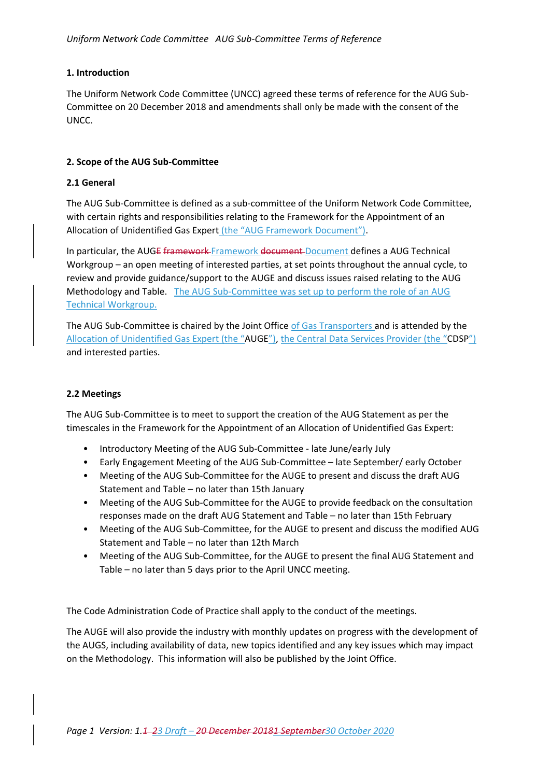# **1. Introduction**

The Uniform Network Code Committee (UNCC) agreed these terms of reference for the AUG Sub-Committee on 20 December 2018 and amendments shall only be made with the consent of the UNCC.

# **2. Scope of the AUG Sub-Committee**

# **2.1 General**

The AUG Sub-Committee is defined as a sub-committee of the Uniform Network Code Committee, with certain rights and responsibilities relating to the Framework for the Appointment of an Allocation of Unidentified Gas Expert (the "AUG Framework Document").

In particular, the AUGE framework Framework document Document defines a AUG Technical Workgroup – an open meeting of interested parties, at set points throughout the annual cycle, to review and provide guidance/support to the AUGE and discuss issues raised relating to the AUG Methodology and Table. The AUG Sub-Committee was set up to perform the role of an AUG Technical Workgroup.

The AUG Sub-Committee is chaired by the Joint Office of Gas Transporters and is attended by the Allocation of Unidentified Gas Expert (the "AUGE"), the Central Data Services Provider (the "CDSP") and interested parties.

# **2.2 Meetings**

The AUG Sub-Committee is to meet to support the creation of the AUG Statement as per the timescales in the Framework for the Appointment of an Allocation of Unidentified Gas Expert:

- Introductory Meeting of the AUG Sub-Committee late June/early July
- Early Engagement Meeting of the AUG Sub-Committee late September/ early October
- Meeting of the AUG Sub-Committee for the AUGE to present and discuss the draft AUG Statement and Table – no later than 15th January
- Meeting of the AUG Sub-Committee for the AUGE to provide feedback on the consultation responses made on the draft AUG Statement and Table – no later than 15th February
- Meeting of the AUG Sub-Committee, for the AUGE to present and discuss the modified AUG Statement and Table – no later than 12th March
- Meeting of the AUG Sub-Committee, for the AUGE to present the final AUG Statement and Table – no later than 5 days prior to the April UNCC meeting.

The Code Administration Code of Practice shall apply to the conduct of the meetings.

The AUGE will also provide the industry with monthly updates on progress with the development of the AUGS, including availability of data, new topics identified and any key issues which may impact on the Methodology. This information will also be published by the Joint Office.